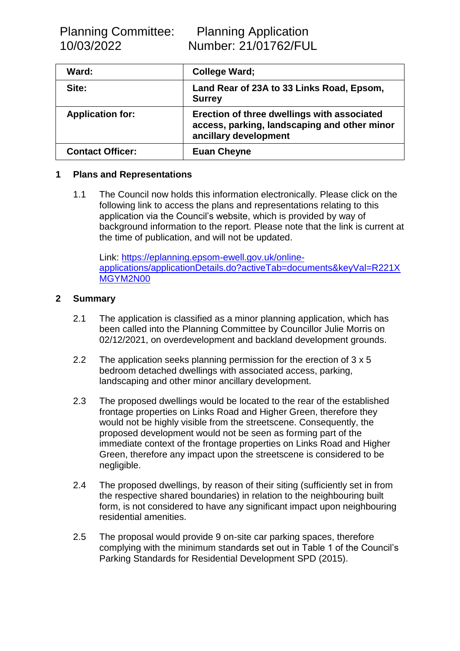| Ward:                   | College Ward;                                                                                                        |
|-------------------------|----------------------------------------------------------------------------------------------------------------------|
| Site:                   | Land Rear of 23A to 33 Links Road, Epsom,<br><b>Surrey</b>                                                           |
| <b>Application for:</b> | Erection of three dwellings with associated<br>access, parking, landscaping and other minor<br>ancillary development |
| <b>Contact Officer:</b> | <b>Euan Cheyne</b>                                                                                                   |

## **1 Plans and Representations**

1.1 The Council now holds this information electronically. Please click on the following link to access the plans and representations relating to this application via the Council's website, which is provided by way of background information to the report. Please note that the link is current at the time of publication, and will not be updated.

Link: [https://eplanning.epsom-ewell.gov.uk/online](https://eplanning.epsom-ewell.gov.uk/online-applications/applicationDetails.do?activeTab=documents&keyVal=R221XMGYM2N00)[applications/applicationDetails.do?activeTab=documents&keyVal=R221X](https://eplanning.epsom-ewell.gov.uk/online-applications/applicationDetails.do?activeTab=documents&keyVal=R221XMGYM2N00) [MGYM2N00](https://eplanning.epsom-ewell.gov.uk/online-applications/applicationDetails.do?activeTab=documents&keyVal=R221XMGYM2N00)

## **2 Summary**

- 2.1 The application is classified as a minor planning application, which has been called into the Planning Committee by Councillor Julie Morris on 02/12/2021, on overdevelopment and backland development grounds.
- 2.2 The application seeks planning permission for the erection of 3 x 5 bedroom detached dwellings with associated access, parking, landscaping and other minor ancillary development.
- 2.3 The proposed dwellings would be located to the rear of the established frontage properties on Links Road and Higher Green, therefore they would not be highly visible from the streetscene. Consequently, the proposed development would not be seen as forming part of the immediate context of the frontage properties on Links Road and Higher Green, therefore any impact upon the streetscene is considered to be negligible.
- 2.4 The proposed dwellings, by reason of their siting (sufficiently set in from the respective shared boundaries) in relation to the neighbouring built form, is not considered to have any significant impact upon neighbouring residential amenities.
- 2.5 The proposal would provide 9 on-site car parking spaces, therefore complying with the minimum standards set out in Table 1 of the Council's Parking Standards for Residential Development SPD (2015).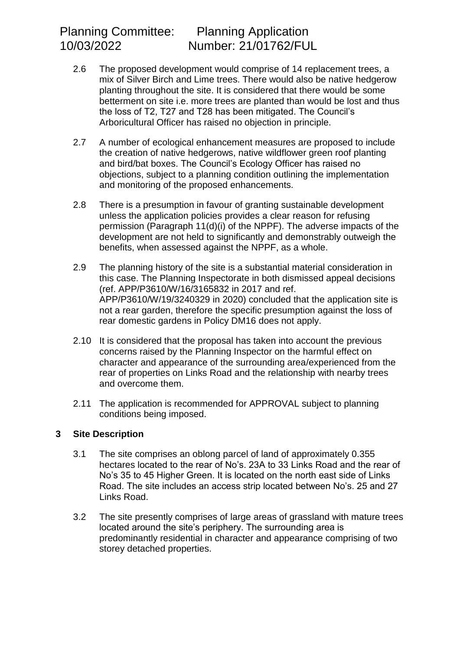- 2.6 The proposed development would comprise of 14 replacement trees, a mix of Silver Birch and Lime trees. There would also be native hedgerow planting throughout the site. It is considered that there would be some betterment on site i.e. more trees are planted than would be lost and thus the loss of T2, T27 and T28 has been mitigated. The Council's Arboricultural Officer has raised no objection in principle.
- 2.7 A number of ecological enhancement measures are proposed to include the creation of native hedgerows, native wildflower green roof planting and bird/bat boxes. The Council's Ecology Officer has raised no objections, subject to a planning condition outlining the implementation and monitoring of the proposed enhancements.
- 2.8 There is a presumption in favour of granting sustainable development unless the application policies provides a clear reason for refusing permission (Paragraph 11(d)(i) of the NPPF). The adverse impacts of the development are not held to significantly and demonstrably outweigh the benefits, when assessed against the NPPF, as a whole.
- 2.9 The planning history of the site is a substantial material consideration in this case. The Planning Inspectorate in both dismissed appeal decisions (ref. APP/P3610/W/16/3165832 in 2017 and ref. APP/P3610/W/19/3240329 in 2020) concluded that the application site is not a rear garden, therefore the specific presumption against the loss of rear domestic gardens in Policy DM16 does not apply.
- 2.10 It is considered that the proposal has taken into account the previous concerns raised by the Planning Inspector on the harmful effect on character and appearance of the surrounding area/experienced from the rear of properties on Links Road and the relationship with nearby trees and overcome them.
- 2.11 The application is recommended for APPROVAL subject to planning conditions being imposed.

# **3 Site Description**

- 3.1 The site comprises an oblong parcel of land of approximately 0.355 hectares located to the rear of No's. 23A to 33 Links Road and the rear of No's 35 to 45 Higher Green. It is located on the north east side of Links Road. The site includes an access strip located between No's. 25 and 27 Links Road.
- 3.2 The site presently comprises of large areas of grassland with mature trees located around the site's periphery. The surrounding area is predominantly residential in character and appearance comprising of two storey detached properties.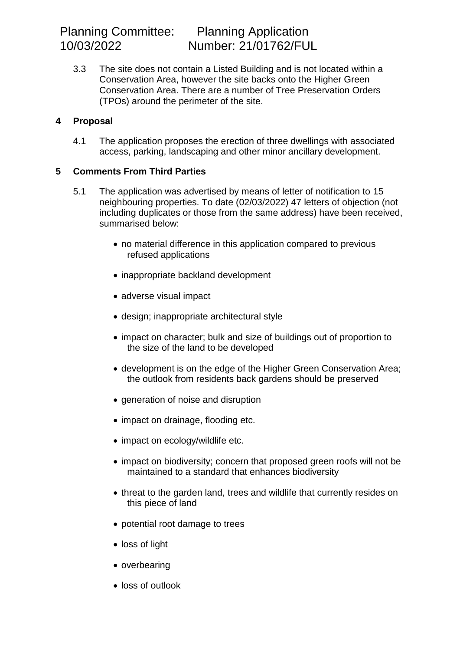Planning Committee: Planning Application

3.3 The site does not contain a Listed Building and is not located within a Conservation Area, however the site backs onto the Higher Green Conservation Area. There are a number of Tree Preservation Orders (TPOs) around the perimeter of the site.

## **4 Proposal**

4.1 The application proposes the erection of three dwellings with associated access, parking, landscaping and other minor ancillary development.

## **5 Comments From Third Parties**

- 5.1 The application was advertised by means of letter of notification to 15 neighbouring properties. To date (02/03/2022) 47 letters of objection (not including duplicates or those from the same address) have been received, summarised below:
	- no material difference in this application compared to previous refused applications
	- inappropriate backland development
	- adverse visual impact
	- design; inappropriate architectural style
	- impact on character; bulk and size of buildings out of proportion to the size of the land to be developed
	- development is on the edge of the Higher Green Conservation Area; the outlook from residents back gardens should be preserved
	- generation of noise and disruption
	- impact on drainage, flooding etc.
	- impact on ecology/wildlife etc.
	- impact on biodiversity; concern that proposed green roofs will not be maintained to a standard that enhances biodiversity
	- threat to the garden land, trees and wildlife that currently resides on this piece of land
	- potential root damage to trees
	- loss of light
	- overbearing
	- loss of outlook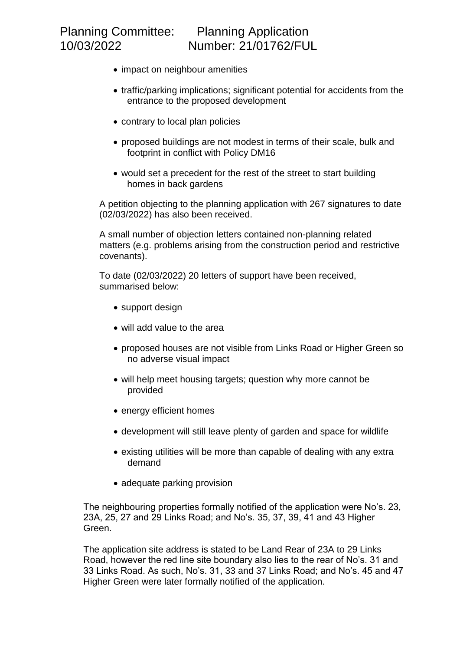- impact on neighbour amenities
- traffic/parking implications; significant potential for accidents from the entrance to the proposed development
- contrary to local plan policies
- proposed buildings are not modest in terms of their scale, bulk and footprint in conflict with Policy DM16
- would set a precedent for the rest of the street to start building homes in back gardens

A petition objecting to the planning application with 267 signatures to date (02/03/2022) has also been received.

A small number of objection letters contained non-planning related matters (e.g. problems arising from the construction period and restrictive covenants).

To date (02/03/2022) 20 letters of support have been received, summarised below:

- support design
- will add value to the area
- proposed houses are not visible from Links Road or Higher Green so no adverse visual impact
- will help meet housing targets; question why more cannot be provided
- energy efficient homes
- development will still leave plenty of garden and space for wildlife
- existing utilities will be more than capable of dealing with any extra demand
- adequate parking provision

The neighbouring properties formally notified of the application were No's. 23, 23A, 25, 27 and 29 Links Road; and No's. 35, 37, 39, 41 and 43 Higher Green.

The application site address is stated to be Land Rear of 23A to 29 Links Road, however the red line site boundary also lies to the rear of No's. 31 and 33 Links Road. As such, No's. 31, 33 and 37 Links Road; and No's. 45 and 47 Higher Green were later formally notified of the application.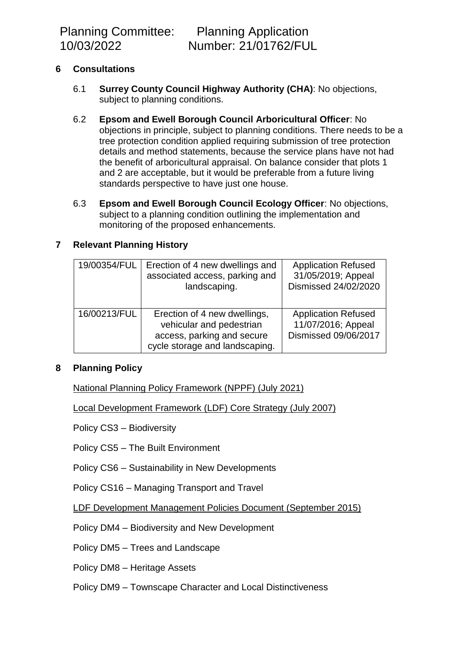Planning Committee: Planning Application

# **6 Consultations**

- 6.1 **Surrey County Council Highway Authority (CHA)**: No objections, subject to planning conditions.
- 6.2 **Epsom and Ewell Borough Council Arboricultural Officer**: No objections in principle, subject to planning conditions. There needs to be a tree protection condition applied requiring submission of tree protection details and method statements, because the service plans have not had the benefit of arboricultural appraisal. On balance consider that plots 1 and 2 are acceptable, but it would be preferable from a future living standards perspective to have just one house.
- 6.3 **Epsom and Ewell Borough Council Ecology Officer**: No objections, subject to a planning condition outlining the implementation and monitoring of the proposed enhancements.

# **7 Relevant Planning History**

| 19/00354/FUL | Erection of 4 new dwellings and<br>associated access, parking and<br>landscaping.                                        | <b>Application Refused</b><br>31/05/2019; Appeal<br>Dismissed 24/02/2020 |
|--------------|--------------------------------------------------------------------------------------------------------------------------|--------------------------------------------------------------------------|
| 16/00213/FUL | Erection of 4 new dwellings,<br>vehicular and pedestrian<br>access, parking and secure<br>cycle storage and landscaping. | <b>Application Refused</b><br>11/07/2016; Appeal<br>Dismissed 09/06/2017 |

## **8 Planning Policy**

National Planning Policy Framework (NPPF) (July 2021)

Local Development Framework (LDF) Core Strategy (July 2007)

Policy CS3 – Biodiversity

Policy CS5 – The Built Environment

Policy CS6 – Sustainability in New Developments

Policy CS16 – Managing Transport and Travel

LDF Development Management Policies Document (September 2015)

Policy DM4 – Biodiversity and New Development

Policy DM5 – Trees and Landscape

Policy DM8 – Heritage Assets

Policy DM9 – Townscape Character and Local Distinctiveness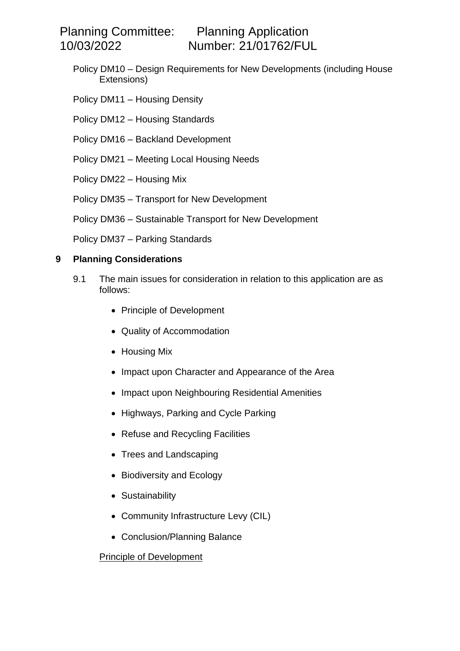Planning Committee: Planning Application

10/03/2022 Number: 21/01762/FUL

- Policy DM10 Design Requirements for New Developments (including House Extensions)
- Policy DM11 Housing Density
- Policy DM12 Housing Standards
- Policy DM16 Backland Development
- Policy DM21 Meeting Local Housing Needs
- Policy DM22 Housing Mix
- Policy DM35 Transport for New Development
- Policy DM36 Sustainable Transport for New Development
- Policy DM37 Parking Standards

## **9 Planning Considerations**

- 9.1 The main issues for consideration in relation to this application are as follows:
	- Principle of Development
	- Quality of Accommodation
	- Housing Mix
	- Impact upon Character and Appearance of the Area
	- Impact upon Neighbouring Residential Amenities
	- Highways, Parking and Cycle Parking
	- Refuse and Recycling Facilities
	- Trees and Landscaping
	- Biodiversity and Ecology
	- Sustainability
	- Community Infrastructure Levy (CIL)
	- Conclusion/Planning Balance

## Principle of Development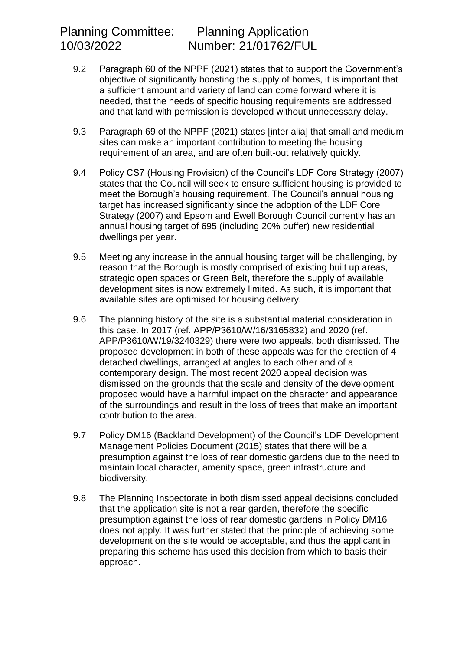- 9.2 Paragraph 60 of the NPPF (2021) states that to support the Government's objective of significantly boosting the supply of homes, it is important that a sufficient amount and variety of land can come forward where it is needed, that the needs of specific housing requirements are addressed and that land with permission is developed without unnecessary delay.
- 9.3 Paragraph 69 of the NPPF (2021) states [inter alia] that small and medium sites can make an important contribution to meeting the housing requirement of an area, and are often built-out relatively quickly.
- 9.4 Policy CS7 (Housing Provision) of the Council's LDF Core Strategy (2007) states that the Council will seek to ensure sufficient housing is provided to meet the Borough's housing requirement. The Council's annual housing target has increased significantly since the adoption of the LDF Core Strategy (2007) and Epsom and Ewell Borough Council currently has an annual housing target of 695 (including 20% buffer) new residential dwellings per year.
- 9.5 Meeting any increase in the annual housing target will be challenging, by reason that the Borough is mostly comprised of existing built up areas, strategic open spaces or Green Belt, therefore the supply of available development sites is now extremely limited. As such, it is important that available sites are optimised for housing delivery.
- 9.6 The planning history of the site is a substantial material consideration in this case. In 2017 (ref. APP/P3610/W/16/3165832) and 2020 (ref. APP/P3610/W/19/3240329) there were two appeals, both dismissed. The proposed development in both of these appeals was for the erection of 4 detached dwellings, arranged at angles to each other and of a contemporary design. The most recent 2020 appeal decision was dismissed on the grounds that the scale and density of the development proposed would have a harmful impact on the character and appearance of the surroundings and result in the loss of trees that make an important contribution to the area.
- 9.7 Policy DM16 (Backland Development) of the Council's LDF Development Management Policies Document (2015) states that there will be a presumption against the loss of rear domestic gardens due to the need to maintain local character, amenity space, green infrastructure and biodiversity.
- 9.8 The Planning Inspectorate in both dismissed appeal decisions concluded that the application site is not a rear garden, therefore the specific presumption against the loss of rear domestic gardens in Policy DM16 does not apply. It was further stated that the principle of achieving some development on the site would be acceptable, and thus the applicant in preparing this scheme has used this decision from which to basis their approach.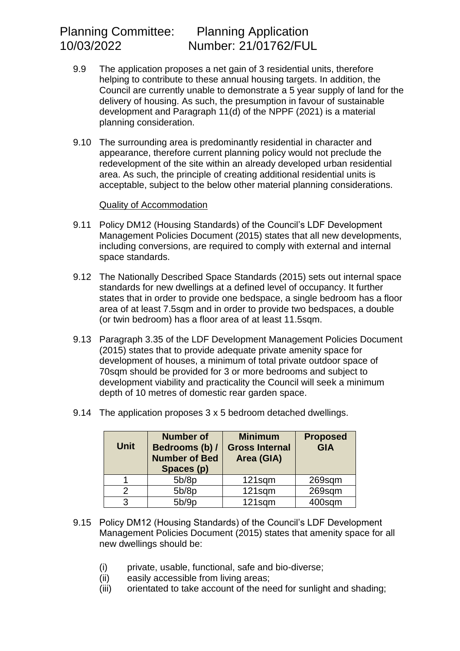- 9.9 The application proposes a net gain of 3 residential units, therefore helping to contribute to these annual housing targets. In addition, the Council are currently unable to demonstrate a 5 year supply of land for the delivery of housing. As such, the presumption in favour of sustainable development and Paragraph 11(d) of the NPPF (2021) is a material planning consideration.
- 9.10 The surrounding area is predominantly residential in character and appearance, therefore current planning policy would not preclude the redevelopment of the site within an already developed urban residential area. As such, the principle of creating additional residential units is acceptable, subject to the below other material planning considerations.

#### Quality of Accommodation

- 9.11 Policy DM12 (Housing Standards) of the Council's LDF Development Management Policies Document (2015) states that all new developments, including conversions, are required to comply with external and internal space standards.
- 9.12 The Nationally Described Space Standards (2015) sets out internal space standards for new dwellings at a defined level of occupancy. It further states that in order to provide one bedspace, a single bedroom has a floor area of at least 7.5sqm and in order to provide two bedspaces, a double (or twin bedroom) has a floor area of at least 11.5sqm.
- 9.13 Paragraph 3.35 of the LDF Development Management Policies Document (2015) states that to provide adequate private amenity space for development of houses, a minimum of total private outdoor space of 70sqm should be provided for 3 or more bedrooms and subject to development viability and practicality the Council will seek a minimum depth of 10 metres of domestic rear garden space.
- 9.14 The application proposes 3 x 5 bedroom detached dwellings.

| <b>Unit</b> | <b>Number of</b><br>Bedrooms (b) /<br><b>Number of Bed</b><br>Spaces (p) | <b>Minimum</b><br><b>Gross Internal</b><br>Area (GIA) | <b>Proposed</b><br><b>GIA</b> |
|-------------|--------------------------------------------------------------------------|-------------------------------------------------------|-------------------------------|
|             | 5b/8p                                                                    | 121sqm                                                | 269sqm                        |
| 2           | 5b/8p                                                                    | 121sqm                                                | 269sqm                        |
| 3           | 5b/9p                                                                    | 121sqm                                                | 400sqm                        |

- 9.15 Policy DM12 (Housing Standards) of the Council's LDF Development Management Policies Document (2015) states that amenity space for all new dwellings should be:
	- (i) private, usable, functional, safe and bio-diverse;
	- (ii) easily accessible from living areas;
	- (iii) orientated to take account of the need for sunlight and shading;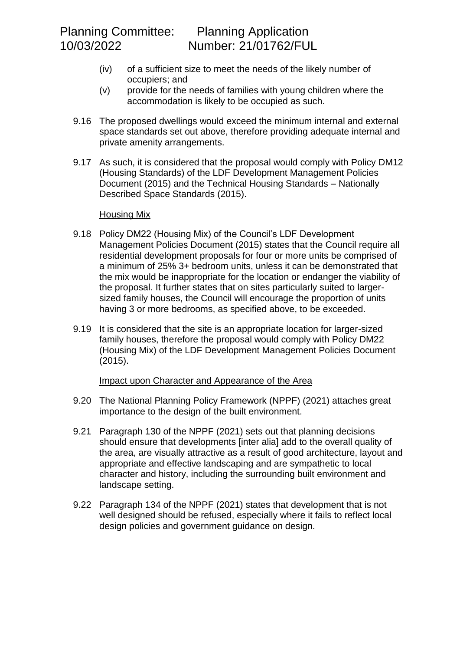- (iv) of a sufficient size to meet the needs of the likely number of occupiers; and
- (v) provide for the needs of families with young children where the accommodation is likely to be occupied as such.
- 9.16 The proposed dwellings would exceed the minimum internal and external space standards set out above, therefore providing adequate internal and private amenity arrangements.
- 9.17 As such, it is considered that the proposal would comply with Policy DM12 (Housing Standards) of the LDF Development Management Policies Document (2015) and the Technical Housing Standards – Nationally Described Space Standards (2015).

## Housing Mix

- 9.18 Policy DM22 (Housing Mix) of the Council's LDF Development Management Policies Document (2015) states that the Council require all residential development proposals for four or more units be comprised of a minimum of 25% 3+ bedroom units, unless it can be demonstrated that the mix would be inappropriate for the location or endanger the viability of the proposal. It further states that on sites particularly suited to largersized family houses, the Council will encourage the proportion of units having 3 or more bedrooms, as specified above, to be exceeded.
- 9.19 It is considered that the site is an appropriate location for larger-sized family houses, therefore the proposal would comply with Policy DM22 (Housing Mix) of the LDF Development Management Policies Document (2015).

## Impact upon Character and Appearance of the Area

- 9.20 The National Planning Policy Framework (NPPF) (2021) attaches great importance to the design of the built environment.
- 9.21 Paragraph 130 of the NPPF (2021) sets out that planning decisions should ensure that developments [inter alia] add to the overall quality of the area, are visually attractive as a result of good architecture, layout and appropriate and effective landscaping and are sympathetic to local character and history, including the surrounding built environment and landscape setting.
- 9.22 Paragraph 134 of the NPPF (2021) states that development that is not well designed should be refused, especially where it fails to reflect local design policies and government guidance on design.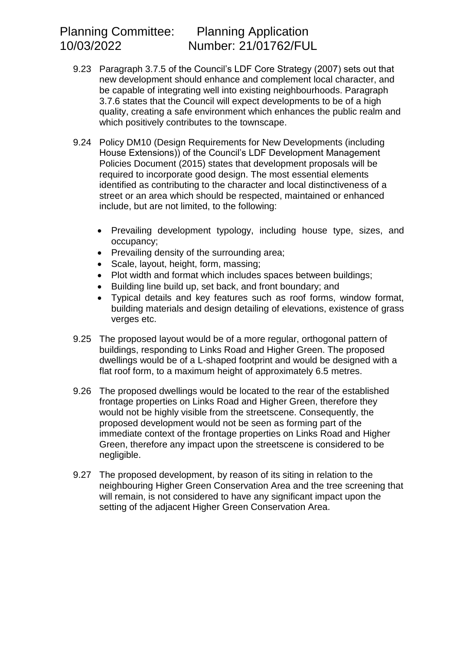- 9.23 Paragraph 3.7.5 of the Council's LDF Core Strategy (2007) sets out that new development should enhance and complement local character, and be capable of integrating well into existing neighbourhoods. Paragraph 3.7.6 states that the Council will expect developments to be of a high quality, creating a safe environment which enhances the public realm and which positively contributes to the townscape.
- 9.24 Policy DM10 (Design Requirements for New Developments (including House Extensions)) of the Council's LDF Development Management Policies Document (2015) states that development proposals will be required to incorporate good design. The most essential elements identified as contributing to the character and local distinctiveness of a street or an area which should be respected, maintained or enhanced include, but are not limited, to the following:
	- Prevailing development typology, including house type, sizes, and occupancy;
	- Prevailing density of the surrounding area;
	- Scale, layout, height, form, massing;
	- Plot width and format which includes spaces between buildings:
	- Building line build up, set back, and front boundary; and
	- Typical details and key features such as roof forms, window format, building materials and design detailing of elevations, existence of grass verges etc.
- 9.25 The proposed layout would be of a more regular, orthogonal pattern of buildings, responding to Links Road and Higher Green. The proposed dwellings would be of a L-shaped footprint and would be designed with a flat roof form, to a maximum height of approximately 6.5 metres.
- 9.26 The proposed dwellings would be located to the rear of the established frontage properties on Links Road and Higher Green, therefore they would not be highly visible from the streetscene. Consequently, the proposed development would not be seen as forming part of the immediate context of the frontage properties on Links Road and Higher Green, therefore any impact upon the streetscene is considered to be negligible.
- 9.27 The proposed development, by reason of its siting in relation to the neighbouring Higher Green Conservation Area and the tree screening that will remain, is not considered to have any significant impact upon the setting of the adjacent Higher Green Conservation Area.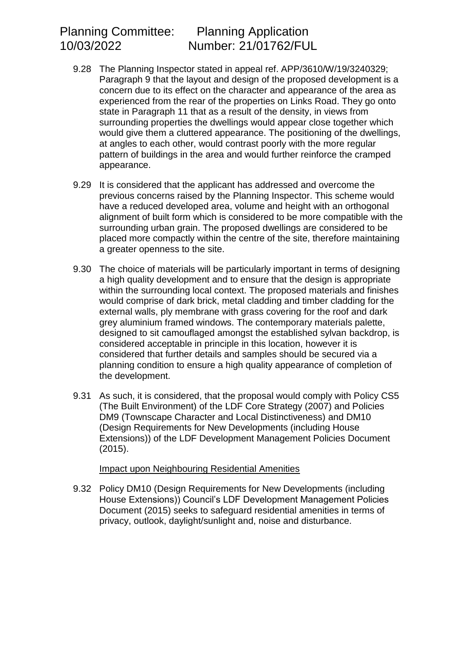- 9.28 The Planning Inspector stated in appeal ref. APP/3610/W/19/3240329; Paragraph 9 that the layout and design of the proposed development is a concern due to its effect on the character and appearance of the area as experienced from the rear of the properties on Links Road. They go onto state in Paragraph 11 that as a result of the density, in views from surrounding properties the dwellings would appear close together which would give them a cluttered appearance. The positioning of the dwellings, at angles to each other, would contrast poorly with the more regular pattern of buildings in the area and would further reinforce the cramped appearance.
- 9.29 It is considered that the applicant has addressed and overcome the previous concerns raised by the Planning Inspector. This scheme would have a reduced developed area, volume and height with an orthogonal alignment of built form which is considered to be more compatible with the surrounding urban grain. The proposed dwellings are considered to be placed more compactly within the centre of the site, therefore maintaining a greater openness to the site.
- 9.30 The choice of materials will be particularly important in terms of designing a high quality development and to ensure that the design is appropriate within the surrounding local context. The proposed materials and finishes would comprise of dark brick, metal cladding and timber cladding for the external walls, ply membrane with grass covering for the roof and dark grey aluminium framed windows. The contemporary materials palette, designed to sit camouflaged amongst the established sylvan backdrop, is considered acceptable in principle in this location, however it is considered that further details and samples should be secured via a planning condition to ensure a high quality appearance of completion of the development.
- 9.31 As such, it is considered, that the proposal would comply with Policy CS5 (The Built Environment) of the LDF Core Strategy (2007) and Policies DM9 (Townscape Character and Local Distinctiveness) and DM10 (Design Requirements for New Developments (including House Extensions)) of the LDF Development Management Policies Document (2015).

#### Impact upon Neighbouring Residential Amenities

9.32 Policy DM10 (Design Requirements for New Developments (including House Extensions)) Council's LDF Development Management Policies Document (2015) seeks to safeguard residential amenities in terms of privacy, outlook, daylight/sunlight and, noise and disturbance.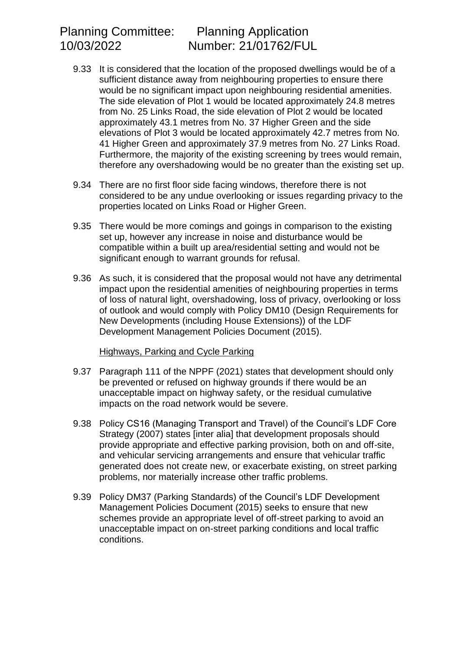- 9.33 It is considered that the location of the proposed dwellings would be of a sufficient distance away from neighbouring properties to ensure there would be no significant impact upon neighbouring residential amenities. The side elevation of Plot 1 would be located approximately 24.8 metres from No. 25 Links Road, the side elevation of Plot 2 would be located approximately 43.1 metres from No. 37 Higher Green and the side elevations of Plot 3 would be located approximately 42.7 metres from No. 41 Higher Green and approximately 37.9 metres from No. 27 Links Road. Furthermore, the majority of the existing screening by trees would remain, therefore any overshadowing would be no greater than the existing set up.
- 9.34 There are no first floor side facing windows, therefore there is not considered to be any undue overlooking or issues regarding privacy to the properties located on Links Road or Higher Green.
- 9.35 There would be more comings and goings in comparison to the existing set up, however any increase in noise and disturbance would be compatible within a built up area/residential setting and would not be significant enough to warrant grounds for refusal.
- 9.36 As such, it is considered that the proposal would not have any detrimental impact upon the residential amenities of neighbouring properties in terms of loss of natural light, overshadowing, loss of privacy, overlooking or loss of outlook and would comply with Policy DM10 (Design Requirements for New Developments (including House Extensions)) of the LDF Development Management Policies Document (2015).

#### Highways, Parking and Cycle Parking

- 9.37 Paragraph 111 of the NPPF (2021) states that development should only be prevented or refused on highway grounds if there would be an unacceptable impact on highway safety, or the residual cumulative impacts on the road network would be severe.
- 9.38 Policy CS16 (Managing Transport and Travel) of the Council's LDF Core Strategy (2007) states [inter alia] that development proposals should provide appropriate and effective parking provision, both on and off-site, and vehicular servicing arrangements and ensure that vehicular traffic generated does not create new, or exacerbate existing, on street parking problems, nor materially increase other traffic problems.
- 9.39 Policy DM37 (Parking Standards) of the Council's LDF Development Management Policies Document (2015) seeks to ensure that new schemes provide an appropriate level of off-street parking to avoid an unacceptable impact on on-street parking conditions and local traffic conditions.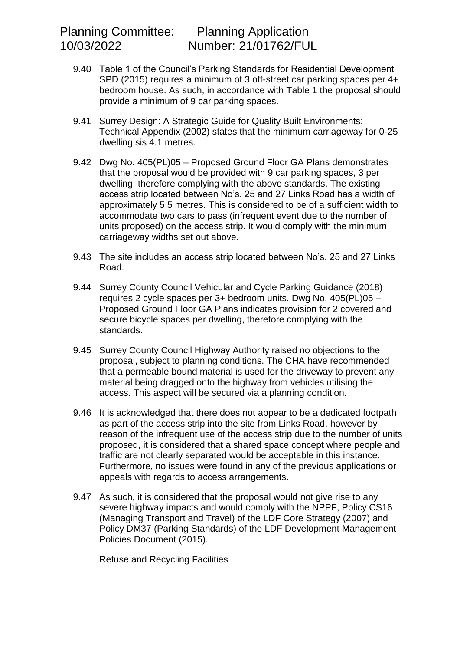- 9.40 Table 1 of the Council's Parking Standards for Residential Development SPD (2015) requires a minimum of 3 off-street car parking spaces per 4+ bedroom house. As such, in accordance with Table 1 the proposal should provide a minimum of 9 car parking spaces.
- 9.41 Surrey Design: A Strategic Guide for Quality Built Environments: Technical Appendix (2002) states that the minimum carriageway for 0-25 dwelling sis 4.1 metres.
- 9.42 Dwg No. 405(PL)05 Proposed Ground Floor GA Plans demonstrates that the proposal would be provided with 9 car parking spaces, 3 per dwelling, therefore complying with the above standards. The existing access strip located between No's. 25 and 27 Links Road has a width of approximately 5.5 metres. This is considered to be of a sufficient width to accommodate two cars to pass (infrequent event due to the number of units proposed) on the access strip. It would comply with the minimum carriageway widths set out above.
- 9.43 The site includes an access strip located between No's. 25 and 27 Links Road.
- 9.44 Surrey County Council Vehicular and Cycle Parking Guidance (2018) requires 2 cycle spaces per 3+ bedroom units. Dwg No. 405(PL)05 – Proposed Ground Floor GA Plans indicates provision for 2 covered and secure bicycle spaces per dwelling, therefore complying with the standards.
- 9.45 Surrey County Council Highway Authority raised no objections to the proposal, subject to planning conditions. The CHA have recommended that a permeable bound material is used for the driveway to prevent any material being dragged onto the highway from vehicles utilising the access. This aspect will be secured via a planning condition.
- 9.46 It is acknowledged that there does not appear to be a dedicated footpath as part of the access strip into the site from Links Road, however by reason of the infrequent use of the access strip due to the number of units proposed, it is considered that a shared space concept where people and traffic are not clearly separated would be acceptable in this instance. Furthermore, no issues were found in any of the previous applications or appeals with regards to access arrangements.
- 9.47 As such, it is considered that the proposal would not give rise to any severe highway impacts and would comply with the NPPF, Policy CS16 (Managing Transport and Travel) of the LDF Core Strategy (2007) and Policy DM37 (Parking Standards) of the LDF Development Management Policies Document (2015).

Refuse and Recycling Facilities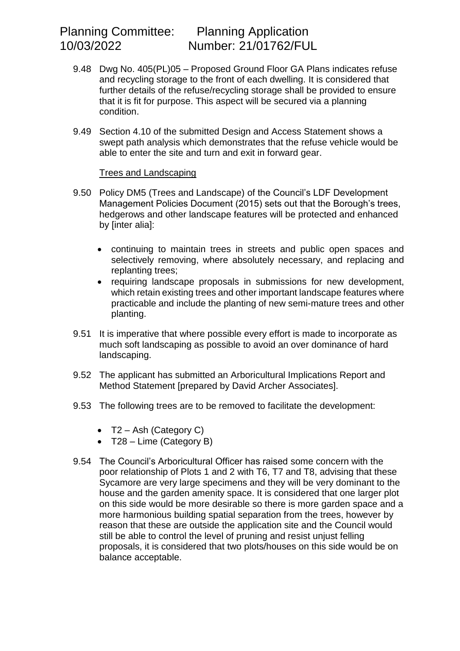- 9.48 Dwg No. 405(PL)05 Proposed Ground Floor GA Plans indicates refuse and recycling storage to the front of each dwelling. It is considered that further details of the refuse/recycling storage shall be provided to ensure that it is fit for purpose. This aspect will be secured via a planning condition.
- 9.49 Section 4.10 of the submitted Design and Access Statement shows a swept path analysis which demonstrates that the refuse vehicle would be able to enter the site and turn and exit in forward gear.

#### Trees and Landscaping

- 9.50 Policy DM5 (Trees and Landscape) of the Council's LDF Development Management Policies Document (2015) sets out that the Borough's trees, hedgerows and other landscape features will be protected and enhanced by [inter alia]:
	- continuing to maintain trees in streets and public open spaces and selectively removing, where absolutely necessary, and replacing and replanting trees;
	- requiring landscape proposals in submissions for new development, which retain existing trees and other important landscape features where practicable and include the planting of new semi-mature trees and other planting.
- 9.51 It is imperative that where possible every effort is made to incorporate as much soft landscaping as possible to avoid an over dominance of hard landscaping.
- 9.52 The applicant has submitted an Arboricultural Implications Report and Method Statement [prepared by David Archer Associates].
- 9.53 The following trees are to be removed to facilitate the development:
	- $\bullet$  T2 Ash (Category C)
	- T28 Lime (Category B)
- 9.54 The Council's Arboricultural Officer has raised some concern with the poor relationship of Plots 1 and 2 with T6, T7 and T8, advising that these Sycamore are very large specimens and they will be very dominant to the house and the garden amenity space. It is considered that one larger plot on this side would be more desirable so there is more garden space and a more harmonious building spatial separation from the trees, however by reason that these are outside the application site and the Council would still be able to control the level of pruning and resist unjust felling proposals, it is considered that two plots/houses on this side would be on balance acceptable.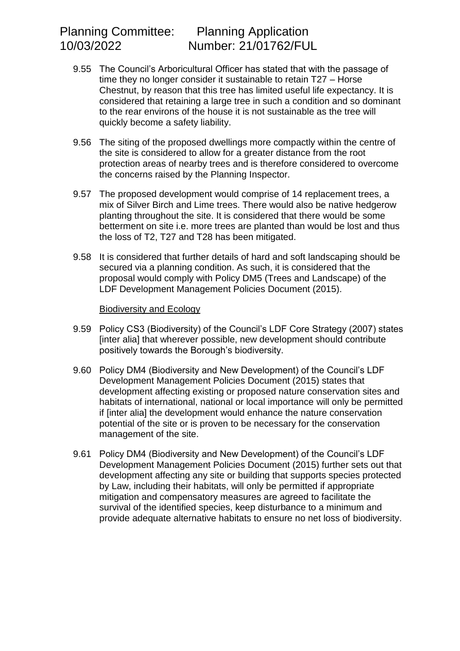- 9.55 The Council's Arboricultural Officer has stated that with the passage of time they no longer consider it sustainable to retain T27 – Horse Chestnut, by reason that this tree has limited useful life expectancy. It is considered that retaining a large tree in such a condition and so dominant to the rear environs of the house it is not sustainable as the tree will quickly become a safety liability.
- 9.56 The siting of the proposed dwellings more compactly within the centre of the site is considered to allow for a greater distance from the root protection areas of nearby trees and is therefore considered to overcome the concerns raised by the Planning Inspector.
- 9.57 The proposed development would comprise of 14 replacement trees, a mix of Silver Birch and Lime trees. There would also be native hedgerow planting throughout the site. It is considered that there would be some betterment on site i.e. more trees are planted than would be lost and thus the loss of T2, T27 and T28 has been mitigated.
- 9.58 It is considered that further details of hard and soft landscaping should be secured via a planning condition. As such, it is considered that the proposal would comply with Policy DM5 (Trees and Landscape) of the LDF Development Management Policies Document (2015).

#### Biodiversity and Ecology

- 9.59 Policy CS3 (Biodiversity) of the Council's LDF Core Strategy (2007) states [inter alia] that wherever possible, new development should contribute positively towards the Borough's biodiversity.
- 9.60 Policy DM4 (Biodiversity and New Development) of the Council's LDF Development Management Policies Document (2015) states that development affecting existing or proposed nature conservation sites and habitats of international, national or local importance will only be permitted if [inter alia] the development would enhance the nature conservation potential of the site or is proven to be necessary for the conservation management of the site.
- 9.61 Policy DM4 (Biodiversity and New Development) of the Council's LDF Development Management Policies Document (2015) further sets out that development affecting any site or building that supports species protected by Law, including their habitats, will only be permitted if appropriate mitigation and compensatory measures are agreed to facilitate the survival of the identified species, keep disturbance to a minimum and provide adequate alternative habitats to ensure no net loss of biodiversity.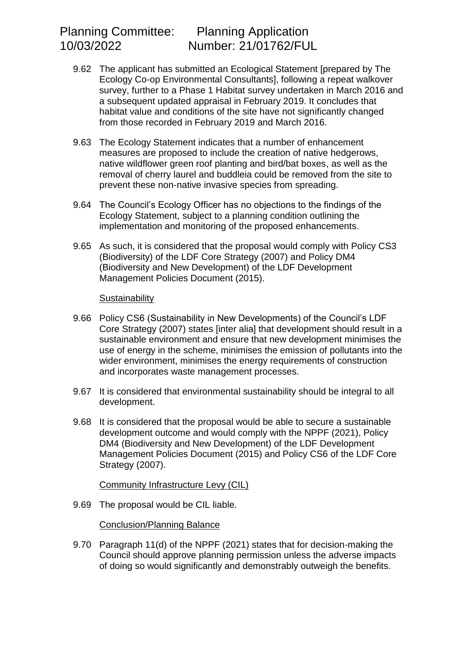- 9.62 The applicant has submitted an Ecological Statement [prepared by The Ecology Co-op Environmental Consultants], following a repeat walkover survey, further to a Phase 1 Habitat survey undertaken in March 2016 and a subsequent updated appraisal in February 2019. It concludes that habitat value and conditions of the site have not significantly changed from those recorded in February 2019 and March 2016.
- 9.63 The Ecology Statement indicates that a number of enhancement measures are proposed to include the creation of native hedgerows, native wildflower green roof planting and bird/bat boxes, as well as the removal of cherry laurel and buddleia could be removed from the site to prevent these non-native invasive species from spreading.
- 9.64 The Council's Ecology Officer has no objections to the findings of the Ecology Statement, subject to a planning condition outlining the implementation and monitoring of the proposed enhancements.
- 9.65 As such, it is considered that the proposal would comply with Policy CS3 (Biodiversity) of the LDF Core Strategy (2007) and Policy DM4 (Biodiversity and New Development) of the LDF Development Management Policies Document (2015).

#### **Sustainability**

- 9.66 Policy CS6 (Sustainability in New Developments) of the Council's LDF Core Strategy (2007) states [inter alia] that development should result in a sustainable environment and ensure that new development minimises the use of energy in the scheme, minimises the emission of pollutants into the wider environment, minimises the energy requirements of construction and incorporates waste management processes.
- 9.67 It is considered that environmental sustainability should be integral to all development.
- 9.68 It is considered that the proposal would be able to secure a sustainable development outcome and would comply with the NPPF (2021), Policy DM4 (Biodiversity and New Development) of the LDF Development Management Policies Document (2015) and Policy CS6 of the LDF Core Strategy (2007).

## Community Infrastructure Levy (CIL)

9.69 The proposal would be CIL liable.

## Conclusion/Planning Balance

9.70 Paragraph 11(d) of the NPPF (2021) states that for decision-making the Council should approve planning permission unless the adverse impacts of doing so would significantly and demonstrably outweigh the benefits.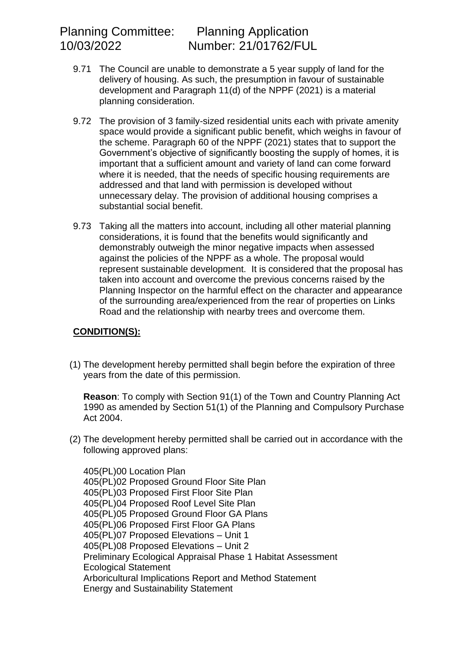- 9.71 The Council are unable to demonstrate a 5 year supply of land for the delivery of housing. As such, the presumption in favour of sustainable development and Paragraph 11(d) of the NPPF (2021) is a material planning consideration.
- 9.72 The provision of 3 family-sized residential units each with private amenity space would provide a significant public benefit, which weighs in favour of the scheme. Paragraph 60 of the NPPF (2021) states that to support the Government's objective of significantly boosting the supply of homes, it is important that a sufficient amount and variety of land can come forward where it is needed, that the needs of specific housing requirements are addressed and that land with permission is developed without unnecessary delay. The provision of additional housing comprises a substantial social benefit.
- 9.73 Taking all the matters into account, including all other material planning considerations, it is found that the benefits would significantly and demonstrably outweigh the minor negative impacts when assessed against the policies of the NPPF as a whole. The proposal would represent sustainable development. It is considered that the proposal has taken into account and overcome the previous concerns raised by the Planning Inspector on the harmful effect on the character and appearance of the surrounding area/experienced from the rear of properties on Links Road and the relationship with nearby trees and overcome them.

# **CONDITION(S):**

(1) The development hereby permitted shall begin before the expiration of three years from the date of this permission.

**Reason**: To comply with Section 91(1) of the Town and Country Planning Act 1990 as amended by Section 51(1) of the Planning and Compulsory Purchase Act 2004.

(2) The development hereby permitted shall be carried out in accordance with the following approved plans:

405(PL)00 Location Plan 405(PL)02 Proposed Ground Floor Site Plan 405(PL)03 Proposed First Floor Site Plan 405(PL)04 Proposed Roof Level Site Plan 405(PL)05 Proposed Ground Floor GA Plans 405(PL)06 Proposed First Floor GA Plans 405(PL)07 Proposed Elevations – Unit 1 405(PL)08 Proposed Elevations – Unit 2 Preliminary Ecological Appraisal Phase 1 Habitat Assessment Ecological Statement Arboricultural Implications Report and Method Statement Energy and Sustainability Statement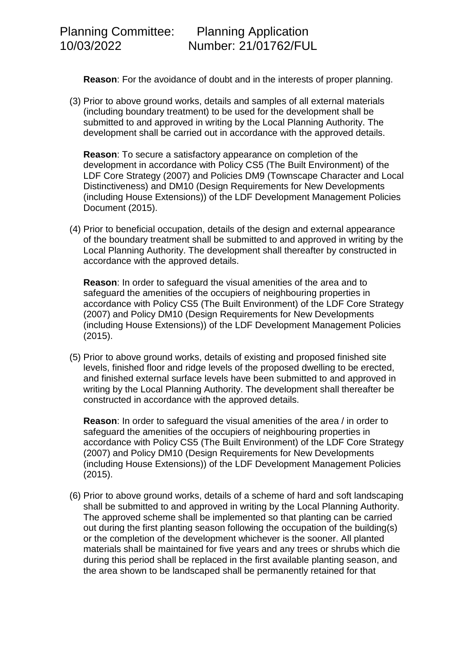**Reason**: For the avoidance of doubt and in the interests of proper planning.

(3) Prior to above ground works, details and samples of all external materials (including boundary treatment) to be used for the development shall be submitted to and approved in writing by the Local Planning Authority. The development shall be carried out in accordance with the approved details.

**Reason**: To secure a satisfactory appearance on completion of the development in accordance with Policy CS5 (The Built Environment) of the LDF Core Strategy (2007) and Policies DM9 (Townscape Character and Local Distinctiveness) and DM10 (Design Requirements for New Developments (including House Extensions)) of the LDF Development Management Policies Document (2015).

(4) Prior to beneficial occupation, details of the design and external appearance of the boundary treatment shall be submitted to and approved in writing by the Local Planning Authority. The development shall thereafter by constructed in accordance with the approved details.

**Reason**: In order to safeguard the visual amenities of the area and to safeguard the amenities of the occupiers of neighbouring properties in accordance with Policy CS5 (The Built Environment) of the LDF Core Strategy (2007) and Policy DM10 (Design Requirements for New Developments (including House Extensions)) of the LDF Development Management Policies (2015).

(5) Prior to above ground works, details of existing and proposed finished site levels, finished floor and ridge levels of the proposed dwelling to be erected, and finished external surface levels have been submitted to and approved in writing by the Local Planning Authority. The development shall thereafter be constructed in accordance with the approved details.

**Reason**: In order to safeguard the visual amenities of the area / in order to safeguard the amenities of the occupiers of neighbouring properties in accordance with Policy CS5 (The Built Environment) of the LDF Core Strategy (2007) and Policy DM10 (Design Requirements for New Developments (including House Extensions)) of the LDF Development Management Policies (2015).

(6) Prior to above ground works, details of a scheme of hard and soft landscaping shall be submitted to and approved in writing by the Local Planning Authority. The approved scheme shall be implemented so that planting can be carried out during the first planting season following the occupation of the building(s) or the completion of the development whichever is the sooner. All planted materials shall be maintained for five years and any trees or shrubs which die during this period shall be replaced in the first available planting season, and the area shown to be landscaped shall be permanently retained for that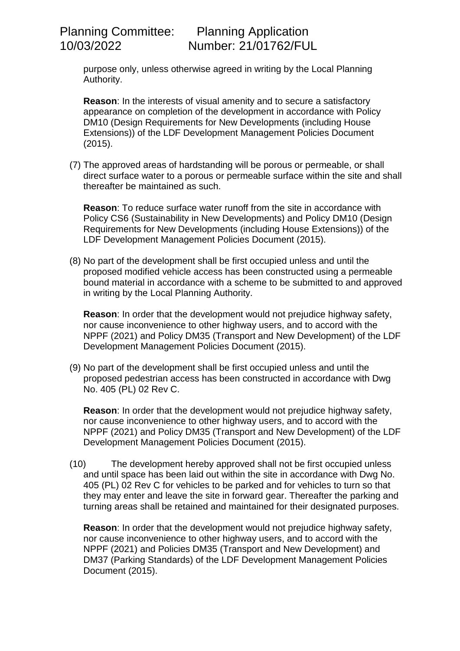purpose only, unless otherwise agreed in writing by the Local Planning Authority.

**Reason**: In the interests of visual amenity and to secure a satisfactory appearance on completion of the development in accordance with Policy DM10 (Design Requirements for New Developments (including House Extensions)) of the LDF Development Management Policies Document (2015).

(7) The approved areas of hardstanding will be porous or permeable, or shall direct surface water to a porous or permeable surface within the site and shall thereafter be maintained as such.

**Reason**: To reduce surface water runoff from the site in accordance with Policy CS6 (Sustainability in New Developments) and Policy DM10 (Design Requirements for New Developments (including House Extensions)) of the LDF Development Management Policies Document (2015).

(8) No part of the development shall be first occupied unless and until the proposed modified vehicle access has been constructed using a permeable bound material in accordance with a scheme to be submitted to and approved in writing by the Local Planning Authority.

**Reason**: In order that the development would not prejudice highway safety, nor cause inconvenience to other highway users, and to accord with the NPPF (2021) and Policy DM35 (Transport and New Development) of the LDF Development Management Policies Document (2015).

(9) No part of the development shall be first occupied unless and until the proposed pedestrian access has been constructed in accordance with Dwg No. 405 (PL) 02 Rev C.

**Reason**: In order that the development would not prejudice highway safety, nor cause inconvenience to other highway users, and to accord with the NPPF (2021) and Policy DM35 (Transport and New Development) of the LDF Development Management Policies Document (2015).

(10) The development hereby approved shall not be first occupied unless and until space has been laid out within the site in accordance with Dwg No. 405 (PL) 02 Rev C for vehicles to be parked and for vehicles to turn so that they may enter and leave the site in forward gear. Thereafter the parking and turning areas shall be retained and maintained for their designated purposes.

**Reason**: In order that the development would not prejudice highway safety, nor cause inconvenience to other highway users, and to accord with the NPPF (2021) and Policies DM35 (Transport and New Development) and DM37 (Parking Standards) of the LDF Development Management Policies Document (2015).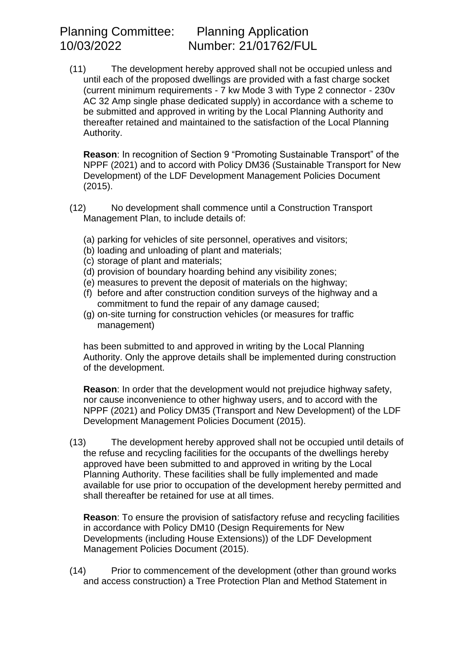(11) The development hereby approved shall not be occupied unless and until each of the proposed dwellings are provided with a fast charge socket (current minimum requirements - 7 kw Mode 3 with Type 2 connector - 230v AC 32 Amp single phase dedicated supply) in accordance with a scheme to be submitted and approved in writing by the Local Planning Authority and thereafter retained and maintained to the satisfaction of the Local Planning Authority.

**Reason**: In recognition of Section 9 "Promoting Sustainable Transport" of the NPPF (2021) and to accord with Policy DM36 (Sustainable Transport for New Development) of the LDF Development Management Policies Document (2015).

- (12) No development shall commence until a Construction Transport Management Plan, to include details of:
	- (a) parking for vehicles of site personnel, operatives and visitors;
	- (b) loading and unloading of plant and materials;
	- (c) storage of plant and materials;
	- (d) provision of boundary hoarding behind any visibility zones;
	- (e) measures to prevent the deposit of materials on the highway;
	- (f) before and after construction condition surveys of the highway and a commitment to fund the repair of any damage caused;
	- (g) on-site turning for construction vehicles (or measures for traffic management)

has been submitted to and approved in writing by the Local Planning Authority. Only the approve details shall be implemented during construction of the development.

**Reason**: In order that the development would not prejudice highway safety, nor cause inconvenience to other highway users, and to accord with the NPPF (2021) and Policy DM35 (Transport and New Development) of the LDF Development Management Policies Document (2015).

(13) The development hereby approved shall not be occupied until details of the refuse and recycling facilities for the occupants of the dwellings hereby approved have been submitted to and approved in writing by the Local Planning Authority. These facilities shall be fully implemented and made available for use prior to occupation of the development hereby permitted and shall thereafter be retained for use at all times.

**Reason**: To ensure the provision of satisfactory refuse and recycling facilities in accordance with Policy DM10 (Design Requirements for New Developments (including House Extensions)) of the LDF Development Management Policies Document (2015).

(14) Prior to commencement of the development (other than ground works and access construction) a Tree Protection Plan and Method Statement in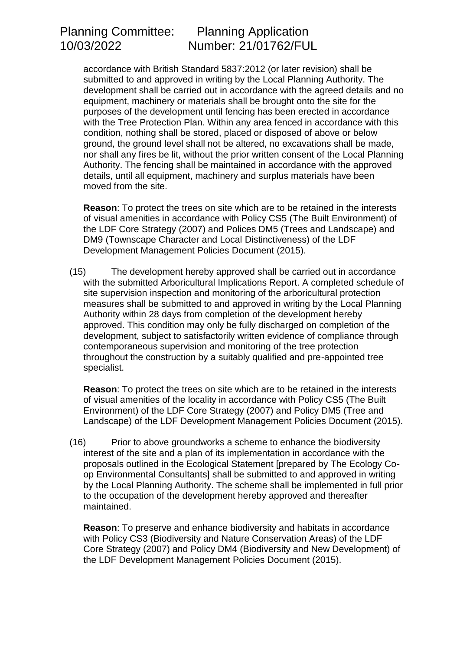accordance with British Standard 5837:2012 (or later revision) shall be submitted to and approved in writing by the Local Planning Authority. The development shall be carried out in accordance with the agreed details and no equipment, machinery or materials shall be brought onto the site for the purposes of the development until fencing has been erected in accordance with the Tree Protection Plan. Within any area fenced in accordance with this condition, nothing shall be stored, placed or disposed of above or below ground, the ground level shall not be altered, no excavations shall be made, nor shall any fires be lit, without the prior written consent of the Local Planning Authority. The fencing shall be maintained in accordance with the approved details, until all equipment, machinery and surplus materials have been moved from the site.

**Reason**: To protect the trees on site which are to be retained in the interests of visual amenities in accordance with Policy CS5 (The Built Environment) of the LDF Core Strategy (2007) and Polices DM5 (Trees and Landscape) and DM9 (Townscape Character and Local Distinctiveness) of the LDF Development Management Policies Document (2015).

(15) The development hereby approved shall be carried out in accordance with the submitted Arboricultural Implications Report. A completed schedule of site supervision inspection and monitoring of the arboricultural protection measures shall be submitted to and approved in writing by the Local Planning Authority within 28 days from completion of the development hereby approved. This condition may only be fully discharged on completion of the development, subject to satisfactorily written evidence of compliance through contemporaneous supervision and monitoring of the tree protection throughout the construction by a suitably qualified and pre-appointed tree specialist.

**Reason**: To protect the trees on site which are to be retained in the interests of visual amenities of the locality in accordance with Policy CS5 (The Built Environment) of the LDF Core Strategy (2007) and Policy DM5 (Tree and Landscape) of the LDF Development Management Policies Document (2015).

(16) Prior to above groundworks a scheme to enhance the biodiversity interest of the site and a plan of its implementation in accordance with the proposals outlined in the Ecological Statement [prepared by The Ecology Coop Environmental Consultants] shall be submitted to and approved in writing by the Local Planning Authority. The scheme shall be implemented in full prior to the occupation of the development hereby approved and thereafter maintained.

**Reason**: To preserve and enhance biodiversity and habitats in accordance with Policy CS3 (Biodiversity and Nature Conservation Areas) of the LDF Core Strategy (2007) and Policy DM4 (Biodiversity and New Development) of the LDF Development Management Policies Document (2015).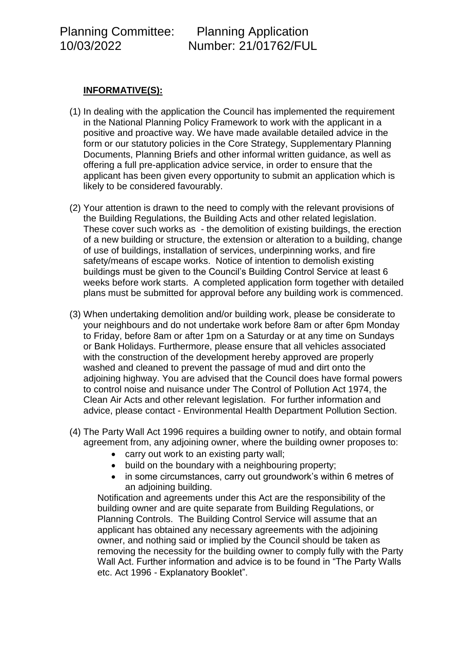## **INFORMATIVE(S):**

- (1) In dealing with the application the Council has implemented the requirement in the National Planning Policy Framework to work with the applicant in a positive and proactive way. We have made available detailed advice in the form or our statutory policies in the Core Strategy, Supplementary Planning Documents, Planning Briefs and other informal written guidance, as well as offering a full pre-application advice service, in order to ensure that the applicant has been given every opportunity to submit an application which is likely to be considered favourably.
- (2) Your attention is drawn to the need to comply with the relevant provisions of the Building Regulations, the Building Acts and other related legislation. These cover such works as - the demolition of existing buildings, the erection of a new building or structure, the extension or alteration to a building, change of use of buildings, installation of services, underpinning works, and fire safety/means of escape works. Notice of intention to demolish existing buildings must be given to the Council's Building Control Service at least 6 weeks before work starts. A completed application form together with detailed plans must be submitted for approval before any building work is commenced.
- (3) When undertaking demolition and/or building work, please be considerate to your neighbours and do not undertake work before 8am or after 6pm Monday to Friday, before 8am or after 1pm on a Saturday or at any time on Sundays or Bank Holidays. Furthermore, please ensure that all vehicles associated with the construction of the development hereby approved are properly washed and cleaned to prevent the passage of mud and dirt onto the adjoining highway. You are advised that the Council does have formal powers to control noise and nuisance under The Control of Pollution Act 1974, the Clean Air Acts and other relevant legislation. For further information and advice, please contact - Environmental Health Department Pollution Section.
- (4) The Party Wall Act 1996 requires a building owner to notify, and obtain formal agreement from, any adjoining owner, where the building owner proposes to:
	- carry out work to an existing party wall:
	- build on the boundary with a neighbouring property;
	- in some circumstances, carry out groundwork's within 6 metres of an adjoining building.

Notification and agreements under this Act are the responsibility of the building owner and are quite separate from Building Regulations, or Planning Controls. The Building Control Service will assume that an applicant has obtained any necessary agreements with the adjoining owner, and nothing said or implied by the Council should be taken as removing the necessity for the building owner to comply fully with the Party Wall Act. Further information and advice is to be found in "The Party Walls etc. Act 1996 - Explanatory Booklet".